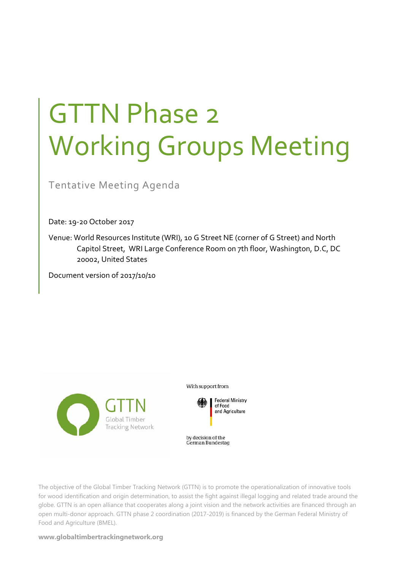# GTTN Phase 2 Working Groups Meeting

Tentative Meeting Agenda

Date: 19‐20 October 2017

Venue: World Resources Institute (WRI), 10 G Street NE (corner of G Street) and North Capitol Street, WRI Large Conference Room on 7th floor, Washington, D.C, DC 20002, United States

Document version of 2017/10/10



With support from



by decision of the German Bundestag

The objective of the Global Timber Tracking Network (GTTN) is to promote the operationalization of innovative tools for wood identification and origin determination, to assist the fight against illegal logging and related trade around the globe. GTTN is an open alliance that cooperates along a joint vision and the network activities are financed through an open multi-donor approach. GTTN phase 2 coordination (2017-2019) is financed by the German Federal Ministry of Food and Agriculture (BMEL).

**www.globaltimbertrackingnetwork.org**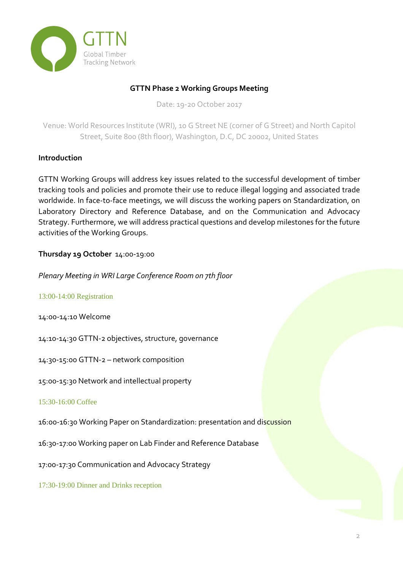

# **GTTN Phase 2 Working Groups Meeting**

Date: 19‐20 October 2017

Venue: World Resources Institute (WRI), 10 G Street NE (corner of G Street) and North Capitol Street, Suite 800 (8th floor), Washington, D.C, DC 20002, United States

## **Introduction**

GTTN Working Groups will address key issues related to the successful development of timber tracking tools and policies and promote their use to reduce illegal logging and associated trade worldwide. In face-to-face meetings, we will discuss the working papers on Standardization, on Laboratory Directory and Reference Database, and on the Communication and Advocacy Strategy. Furthermore, we will address practical questions and develop milestones for the future activities of the Working Groups.

# **Thursday 19 October** 14:00‐19:00

*Plenary Meeting in WRI Large Conference Room on 7th floor*

## 13:00-14:00 Registration

14:00‐14:10 Welcome

14:10‐14:30 GTTN‐2 objectives, structure, governance

14:30‐15:00 GTTN‐2 – network composition

15:00‐15:30 Network and intellectual property

## 15:30-16:00 Coffee

16:00‐16:30 Working Paper on Standardization: presentation and discussion

16:30‐17:00 Working paper on Lab Finder and Reference Database

17:00‐17:30 Communication and Advocacy Strategy

17:30-19:00 Dinner and Drinks reception